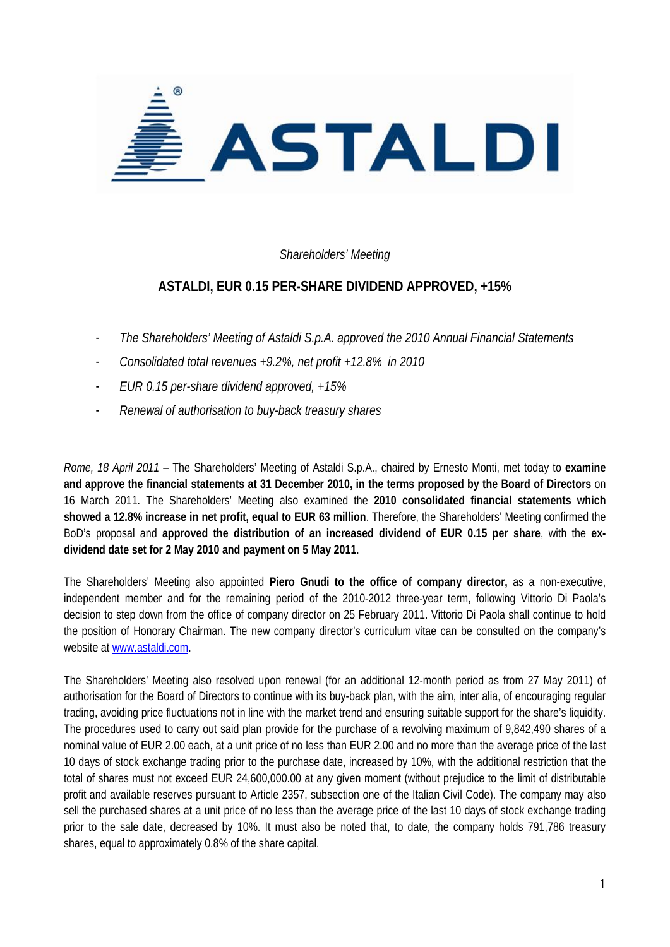

## *Shareholders' Meeting*

## **ASTALDI, EUR 0.15 PER-SHARE DIVIDEND APPROVED, +15%**

- *The Shareholders' Meeting of Astaldi S.p.A. approved the 2010 Annual Financial Statements*
- *Consolidated total revenues +9.2%, net profit +12.8% in 2010*
- *EUR 0.15 per-share dividend approved, +15%*
- *Renewal of authorisation to buy-back treasury shares*

*Rome, 18 April 2011* – The Shareholders' Meeting of Astaldi S.p.A., chaired by Ernesto Monti, met today to **examine and approve the financial statements at 31 December 2010, in the terms proposed by the Board of Directors** on 16 March 2011. The Shareholders' Meeting also examined the **2010 consolidated financial statements which showed a 12.8% increase in net profit, equal to EUR 63 million**. Therefore, the Shareholders' Meeting confirmed the BoD's proposal and **approved the distribution of an increased dividend of EUR 0.15 per share**, with the **exdividend date set for 2 May 2010 and payment on 5 May 2011**.

The Shareholders' Meeting also appointed **Piero Gnudi to the office of company director,** as a non-executive, independent member and for the remaining period of the 2010-2012 three-year term, following Vittorio Di Paola's decision to step down from the office of company director on 25 February 2011. Vittorio Di Paola shall continue to hold the position of Honorary Chairman. The new company director's curriculum vitae can be consulted on the company's website at www.astaldi.com.

The Shareholders' Meeting also resolved upon renewal (for an additional 12-month period as from 27 May 2011) of authorisation for the Board of Directors to continue with its buy-back plan, with the aim, inter alia, of encouraging regular trading, avoiding price fluctuations not in line with the market trend and ensuring suitable support for the share's liquidity. The procedures used to carry out said plan provide for the purchase of a revolving maximum of 9,842,490 shares of a nominal value of EUR 2.00 each, at a unit price of no less than EUR 2.00 and no more than the average price of the last 10 days of stock exchange trading prior to the purchase date, increased by 10%, with the additional restriction that the total of shares must not exceed EUR 24,600,000.00 at any given moment (without prejudice to the limit of distributable profit and available reserves pursuant to Article 2357, subsection one of the Italian Civil Code). The company may also sell the purchased shares at a unit price of no less than the average price of the last 10 days of stock exchange trading prior to the sale date, decreased by 10%. It must also be noted that, to date, the company holds 791,786 treasury shares, equal to approximately 0.8% of the share capital.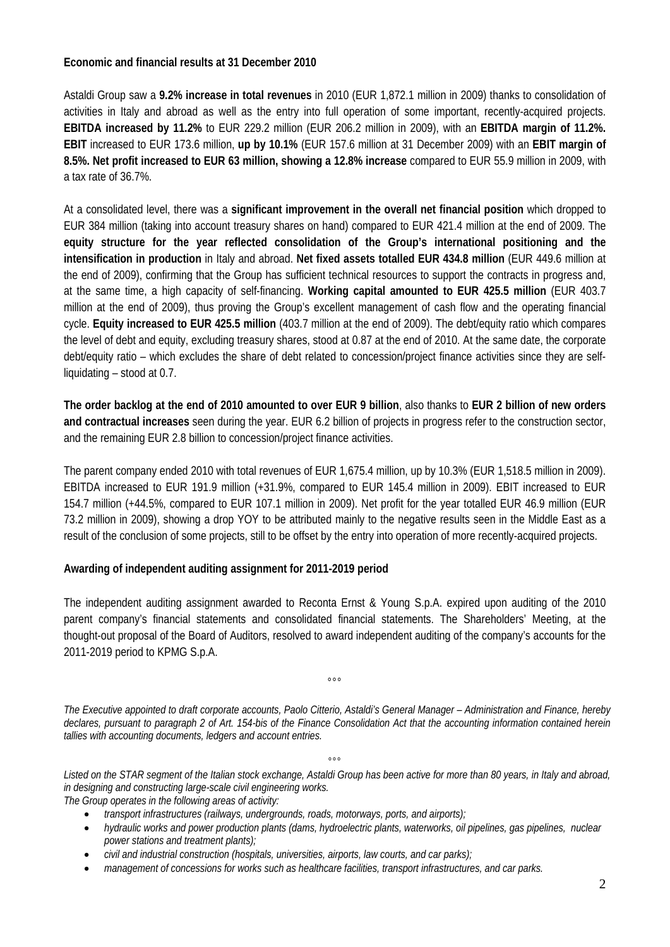## **Economic and financial results at 31 December 2010**

Astaldi Group saw a **9.2% increase in total revenues** in 2010 (EUR 1,872.1 million in 2009) thanks to consolidation of activities in Italy and abroad as well as the entry into full operation of some important, recently-acquired projects. **EBITDA increased by 11.2%** to EUR 229.2 million (EUR 206.2 million in 2009), with an **EBITDA margin of 11.2%. EBIT** increased to EUR 173.6 million, **up by 10.1%** (EUR 157.6 million at 31 December 2009) with an **EBIT margin of 8.5%. Net profit increased to EUR 63 million, showing a 12.8% increase** compared to EUR 55.9 million in 2009, with a tax rate of 36.7%.

At a consolidated level, there was a **significant improvement in the overall net financial position** which dropped to EUR 384 million (taking into account treasury shares on hand) compared to EUR 421.4 million at the end of 2009. The **equity structure for the year reflected consolidation of the Group's international positioning and the intensification in production** in Italy and abroad. **Net fixed assets totalled EUR 434.8 million** (EUR 449.6 million at the end of 2009), confirming that the Group has sufficient technical resources to support the contracts in progress and, at the same time, a high capacity of self-financing. **Working capital amounted to EUR 425.5 million** (EUR 403.7 million at the end of 2009), thus proving the Group's excellent management of cash flow and the operating financial cycle. **Equity increased to EUR 425.5 million** (403.7 million at the end of 2009). The debt/equity ratio which compares the level of debt and equity, excluding treasury shares, stood at 0.87 at the end of 2010. At the same date, the corporate debt/equity ratio – which excludes the share of debt related to concession/project finance activities since they are selfliquidating – stood at 0.7.

**The order backlog at the end of 2010 amounted to over EUR 9 billion**, also thanks to **EUR 2 billion of new orders and contractual increases** seen during the year. EUR 6.2 billion of projects in progress refer to the construction sector, and the remaining EUR 2.8 billion to concession/project finance activities.

The parent company ended 2010 with total revenues of EUR 1,675.4 million, up by 10.3% (EUR 1,518.5 million in 2009). EBITDA increased to EUR 191.9 million (+31.9%, compared to EUR 145.4 million in 2009). EBIT increased to EUR 154.7 million (+44.5%, compared to EUR 107.1 million in 2009). Net profit for the year totalled EUR 46.9 million (EUR 73.2 million in 2009), showing a drop YOY to be attributed mainly to the negative results seen in the Middle East as a result of the conclusion of some projects, still to be offset by the entry into operation of more recently-acquired projects.

## **Awarding of independent auditing assignment for 2011-2019 period**

The independent auditing assignment awarded to Reconta Ernst & Young S.p.A. expired upon auditing of the 2010 parent company's financial statements and consolidated financial statements. The Shareholders' Meeting, at the thought-out proposal of the Board of Auditors, resolved to award independent auditing of the company's accounts for the 2011-2019 period to KPMG S.p.A.

°°°

*The Executive appointed to draft corporate accounts, Paolo Citterio, Astaldi's General Manager – Administration and Finance, hereby*  declares, pursuant to paragraph 2 of Art. 154-bis of the Finance Consolidation Act that the accounting information contained herein *tallies with accounting documents, ledgers and account entries.* 

 $\overline{\mathbf{c}}$ 

*Listed on the STAR segment of the Italian stock exchange, Astaldi Group has been active for more than 80 years, in Italy and abroad, in designing and constructing large-scale civil engineering works.* 

*The Group operates in the following areas of activity:* 

- *transport infrastructures (railways, undergrounds, roads, motorways, ports, and airports);*
- *hydraulic works and power production plants (dams, hydroelectric plants, waterworks, oil pipelines, gas pipelines, nuclear power stations and treatment plants);*
- *civil and industrial construction (hospitals, universities, airports, law courts, and car parks);*
- *management of concessions for works such as healthcare facilities, transport infrastructures, and car parks.*